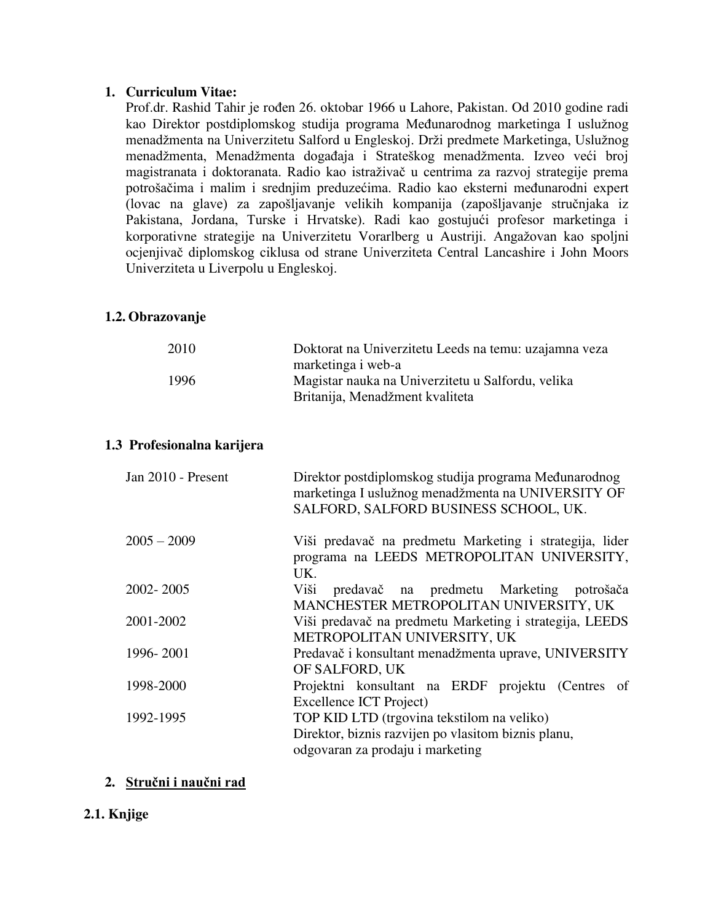#### **1. Curriculum Vitae:**

Prof.dr. Rashid Tahir je rođen 26. oktobar 1966 u Lahore, Pakistan. Od 2010 godine radi kao Direktor postdiplomskog studija programa Međunarodnog marketinga I uslužnog menadžmenta na Univerzitetu Salford u Engleskoj. Drži predmete Marketinga, Uslužnog menadžmenta, Menadžmenta događaja i Strateškog menadžmenta. Izveo veći broj magistranata i doktoranata. Radio kao istraživač u centrima za razvoj strategije prema potrošačima i malim i srednjim preduzećima. Radio kao eksterni međunarodni expert (lovac na glave) za zapošljavanje velikih kompanija (zapošljavanje stručnjaka iz Pakistana, Jordana, Turske i Hrvatske). Radi kao gostujući profesor marketinga i korporativne strategije na Univerzitetu Vorarlberg u Austriji. Angažovan kao spoljni ocjenjivač diplomskog ciklusa od strane Univerziteta Central Lancashire i John Moors Univerziteta u Liverpolu u Engleskoj.

#### **1.2. Obrazovanje**

| 2010 | Doktorat na Univerzitetu Leeds na temu: uzajamna veza |
|------|-------------------------------------------------------|
|      | marketinga i web-a                                    |
| 1996 | Magistar nauka na Univerzitetu u Salfordu, velika     |
|      | Britanija, Menadžment kvaliteta                       |
|      |                                                       |

#### **1.3 Profesionalna karijera**

| Jan 2010 - Present | Direktor postdiplomskog studija programa Međunarodnog<br>marketinga I uslužnog menadžmenta na UNIVERSITY OF<br>SALFORD, SALFORD BUSINESS SCHOOL, UK. |
|--------------------|------------------------------------------------------------------------------------------------------------------------------------------------------|
| $2005 - 2009$      | Viši predavač na predmetu Marketing i strategija, lider<br>programa na LEEDS METROPOLITAN UNIVERSITY,<br>UK.                                         |
| 2002-2005          | predavač na predmetu Marketing potrošača<br>Viši<br>MANCHESTER METROPOLITAN UNIVERSITY, UK                                                           |
| 2001-2002          | Viši predavač na predmetu Marketing i strategija, LEEDS<br>METROPOLITAN UNIVERSITY, UK                                                               |
| 1996-2001          | Predavač i konsultant menadžmenta uprave, UNIVERSITY<br>OF SALFORD, UK                                                                               |
| 1998-2000          | Projektni konsultant na ERDF projektu (Centres of<br>Excellence ICT Project)                                                                         |
| 1992-1995          | TOP KID LTD (trgovina tekstilom na veliko)<br>Direktor, biznis razvijen po vlasitom biznis planu,<br>odgovaran za prodaju i marketing                |

#### **2. Stručni i naučni rad**

#### **2.1. Knjige**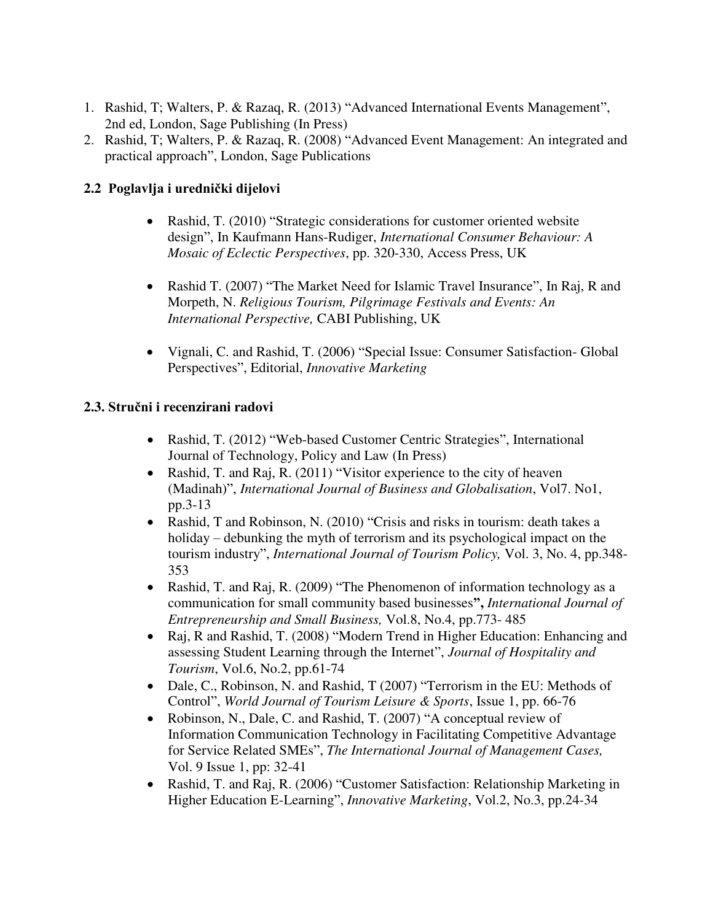- 1. Rashid, T; Walters, P. & Razaq, R. (2013) "Advanced International Events Management", 2nd ed, London, Sage Publishing (In Press)
- 2. Rashid, T; Walters, P. & Razaq, R. (2008) "Advanced Event Management: An integrated and practical approach", London, Sage Publications

## **2.2 Poglavlja i urednički dijelovi**

- Rashid, T. (2010) "Strategic considerations for customer oriented website design", In Kaufmann Hans-Rudiger, *International Consumer Behaviour: A Mosaic of Eclectic Perspectives*, pp. 320-330, Access Press, UK
- Rashid T. (2007) "The Market Need for Islamic Travel Insurance", In Raj, R and Morpeth, N. *Religious Tourism, Pilgrimage Festivals and Events: An International Perspective,* CABI Publishing, UK
- Vignali, C. and Rashid, T. (2006) "Special Issue: Consumer Satisfaction- Global Perspectives", Editorial, *Innovative Marketing*

## **2.3. Stručni i recenzirani radovi**

- Rashid, T. (2012) "Web-based Customer Centric Strategies", International Journal of Technology, Policy and Law (In Press)
- Rashid, T. and Raj, R. (2011) "Visitor experience to the city of heaven (Madinah)", *International Journal of Business and Globalisation*, Vol7. No1, pp.3-13
- Rashid, T and Robinson, N. (2010) "Crisis and risks in tourism: death takes a holiday – debunking the myth of terrorism and its psychological impact on the tourism industry", *International Journal of Tourism Policy,* Vol. 3, No. 4, pp.348- 353
- Rashid, T. and Raj, R. (2009) "The Phenomenon of information technology as a communication for small community based businesses**",** *International Journal of Entrepreneurship and Small Business,* Vol.8, No.4, pp.773- 485
- Raj, R and Rashid, T. (2008) "Modern Trend in Higher Education: Enhancing and assessing Student Learning through the Internet", *Journal of Hospitality and Tourism*, Vol.6, No.2, pp.61-74
- Dale, C., Robinson, N. and Rashid, T (2007) "Terrorism in the EU: Methods of Control", *World Journal of Tourism Leisure & Sports*, Issue 1, pp. 66-76
- Robinson, N., Dale, C. and Rashid, T. (2007) "A conceptual review of Information Communication Technology in Facilitating Competitive Advantage for Service Related SMEs", *The International Journal of Management Cases,*  Vol. 9 Issue 1, pp: 32-41
- Rashid, T. and Raj, R. (2006) "Customer Satisfaction: Relationship Marketing in Higher Education E-Learning", *Innovative Marketing*, Vol.2, No.3, pp.24-34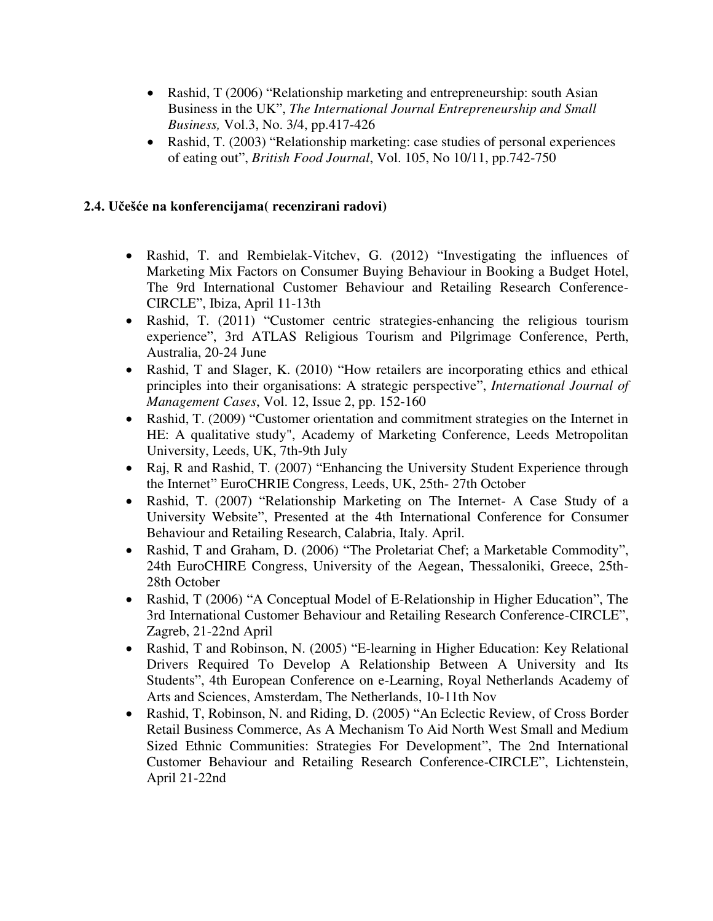- Rashid, T (2006) "Relationship marketing and entrepreneurship: south Asian Business in the UK", *The International Journal Entrepreneurship and Small Business,* Vol.3, No. 3/4, pp.417-426
- Rashid, T. (2003) "Relationship marketing: case studies of personal experiences of eating out", *British Food Journal*, Vol. 105, No 10/11, pp.742-750

#### **2.4. Učešće na konferencijama( recenzirani radovi)**

- Rashid, T. and Rembielak-Vitchev, G. (2012) "Investigating the influences of Marketing Mix Factors on Consumer Buying Behaviour in Booking a Budget Hotel, The 9rd International Customer Behaviour and Retailing Research Conference-CIRCLE", Ibiza, April 11-13th
- Rashid, T. (2011) "Customer centric strategies-enhancing the religious tourism experience", 3rd ATLAS Religious Tourism and Pilgrimage Conference, Perth, Australia, 20-24 June
- Rashid, T and Slager, K. (2010) "How retailers are incorporating ethics and ethical principles into their organisations: A strategic perspective", *International Journal of Management Cases*, Vol. 12, Issue 2, pp. 152-160
- Rashid, T. (2009) "Customer orientation and commitment strategies on the Internet in HE: A qualitative study", Academy of Marketing Conference, Leeds Metropolitan University, Leeds, UK, 7th-9th July
- Raj, R and Rashid, T. (2007) "Enhancing the University Student Experience through the Internet" EuroCHRIE Congress, Leeds, UK, 25th- 27th October
- Rashid, T. (2007) "Relationship Marketing on The Internet- A Case Study of a University Website", Presented at the 4th International Conference for Consumer Behaviour and Retailing Research, Calabria, Italy. April.
- Rashid, T and Graham, D. (2006) "The Proletariat Chef; a Marketable Commodity", 24th EuroCHIRE Congress, University of the Aegean, Thessaloniki, Greece, 25th-28th October
- Rashid, T (2006) "A Conceptual Model of E-Relationship in Higher Education", The 3rd International Customer Behaviour and Retailing Research Conference-CIRCLE", Zagreb, 21-22nd April
- Rashid, T and Robinson, N. (2005) "E-learning in Higher Education: Key Relational Drivers Required To Develop A Relationship Between A University and Its Students", 4th European Conference on e-Learning, Royal Netherlands Academy of Arts and Sciences, Amsterdam, The Netherlands, 10-11th Nov
- Rashid, T, Robinson, N. and Riding, D. (2005) "An Eclectic Review, of Cross Border Retail Business Commerce, As A Mechanism To Aid North West Small and Medium Sized Ethnic Communities: Strategies For Development", The 2nd International Customer Behaviour and Retailing Research Conference-CIRCLE", Lichtenstein, April 21-22nd